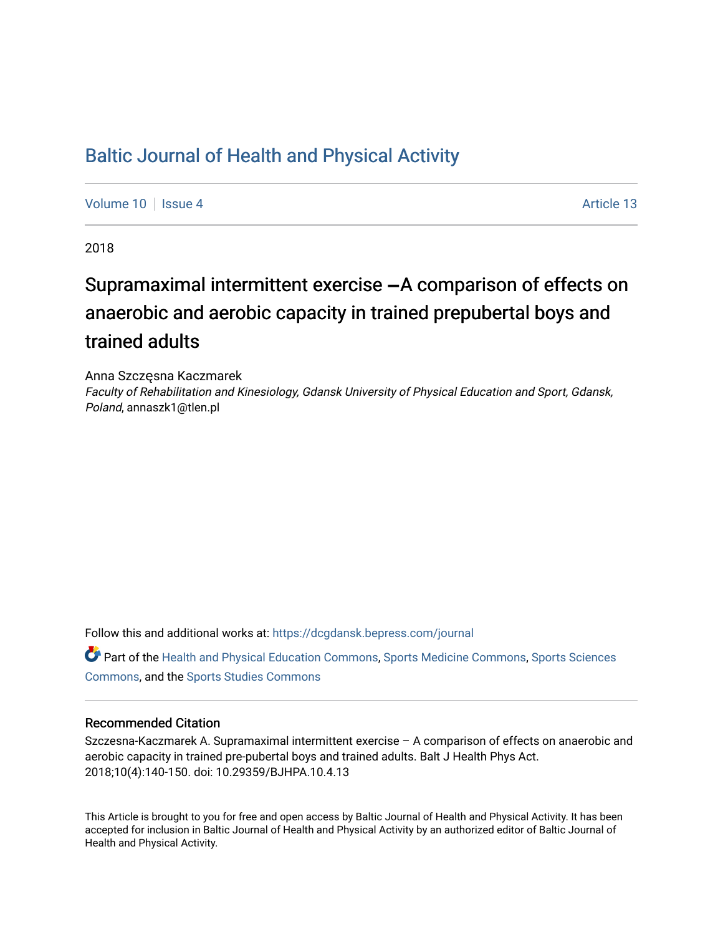## [Baltic Journal of Health and Physical Activity](https://dcgdansk.bepress.com/journal)

[Volume 10](https://dcgdansk.bepress.com/journal/vol10) | [Issue 4](https://dcgdansk.bepress.com/journal/vol10/iss4) Article 13

2018

# Supramaximal intermittent exercise  $-A$  comparison of effects on anaerobic and aerobic capacity in trained prepubertal boys and trained adults

Anna Szczęsna Kaczmarek

Faculty of Rehabilitation and Kinesiology, Gdansk University of Physical Education and Sport, Gdansk, Poland, annaszk1@tlen.pl

Follow this and additional works at: [https://dcgdansk.bepress.com/journal](https://dcgdansk.bepress.com/journal?utm_source=dcgdansk.bepress.com%2Fjournal%2Fvol10%2Fiss4%2F13&utm_medium=PDF&utm_campaign=PDFCoverPages)

Part of the [Health and Physical Education Commons](http://network.bepress.com/hgg/discipline/1327?utm_source=dcgdansk.bepress.com%2Fjournal%2Fvol10%2Fiss4%2F13&utm_medium=PDF&utm_campaign=PDFCoverPages), [Sports Medicine Commons,](http://network.bepress.com/hgg/discipline/1331?utm_source=dcgdansk.bepress.com%2Fjournal%2Fvol10%2Fiss4%2F13&utm_medium=PDF&utm_campaign=PDFCoverPages) [Sports Sciences](http://network.bepress.com/hgg/discipline/759?utm_source=dcgdansk.bepress.com%2Fjournal%2Fvol10%2Fiss4%2F13&utm_medium=PDF&utm_campaign=PDFCoverPages) [Commons](http://network.bepress.com/hgg/discipline/759?utm_source=dcgdansk.bepress.com%2Fjournal%2Fvol10%2Fiss4%2F13&utm_medium=PDF&utm_campaign=PDFCoverPages), and the [Sports Studies Commons](http://network.bepress.com/hgg/discipline/1198?utm_source=dcgdansk.bepress.com%2Fjournal%2Fvol10%2Fiss4%2F13&utm_medium=PDF&utm_campaign=PDFCoverPages) 

#### Recommended Citation

Szczesna-Kaczmarek A. Supramaximal intermittent exercise – A comparison of effects on anaerobic and aerobic capacity in trained pre-pubertal boys and trained adults. Balt J Health Phys Act. 2018;10(4):140-150. doi: 10.29359/BJHPA.10.4.13

This Article is brought to you for free and open access by Baltic Journal of Health and Physical Activity. It has been accepted for inclusion in Baltic Journal of Health and Physical Activity by an authorized editor of Baltic Journal of Health and Physical Activity.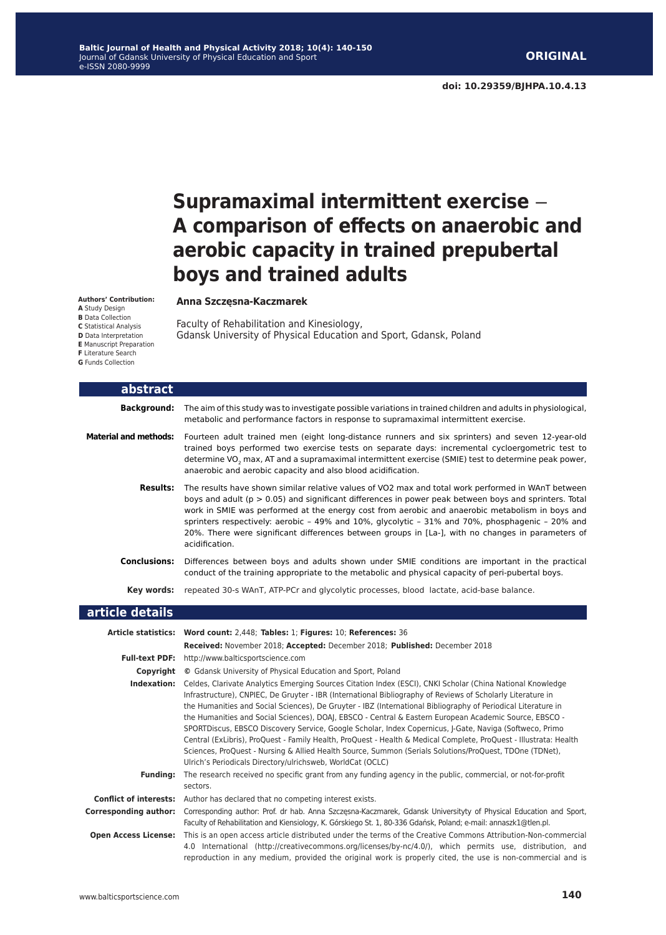# **Supramaximal intermittent exercise – A comparison of effects on anaerobic and aerobic capacity in trained prepubertal boys and trained adults**

#### **Anna Szczęsna-Kaczmarek**

Faculty of Rehabilitation and Kinesiology, Gdansk University of Physical Education and Sport, Gdansk, Poland

| abstract                     |                                                                                                                                                                                                                                                                                                                                                                                                                                                                                                                                                                                                                                                                                                                                                                                                                                                                           |  |  |
|------------------------------|---------------------------------------------------------------------------------------------------------------------------------------------------------------------------------------------------------------------------------------------------------------------------------------------------------------------------------------------------------------------------------------------------------------------------------------------------------------------------------------------------------------------------------------------------------------------------------------------------------------------------------------------------------------------------------------------------------------------------------------------------------------------------------------------------------------------------------------------------------------------------|--|--|
| <b>Background:</b>           | The aim of this study was to investigate possible variations in trained children and adults in physiological,<br>metabolic and performance factors in response to supramaximal intermittent exercise.                                                                                                                                                                                                                                                                                                                                                                                                                                                                                                                                                                                                                                                                     |  |  |
| <b>Material and methods:</b> | Fourteen adult trained men (eight long-distance runners and six sprinters) and seven 12-year-old<br>trained boys performed two exercise tests on separate days: incremental cycloergometric test to<br>determine VO <sub>2</sub> max, AT and a supramaximal intermittent exercise (SMIE) test to determine peak power,<br>anaerobic and aerobic capacity and also blood acidification.                                                                                                                                                                                                                                                                                                                                                                                                                                                                                    |  |  |
| <b>Results:</b>              | The results have shown similar relative values of VO2 max and total work performed in WAnT between<br>boys and adult (p > 0.05) and significant differences in power peak between boys and sprinters. Total<br>work in SMIE was performed at the energy cost from aerobic and anaerobic metabolism in boys and<br>sprinters respectively: aerobic - 49% and 10%, glycolytic - 31% and 70%, phosphagenic - 20% and<br>20%. There were significant differences between groups in [La-], with no changes in parameters of<br>acidification.                                                                                                                                                                                                                                                                                                                                  |  |  |
| <b>Conclusions:</b>          | Differences between boys and adults shown under SMIE conditions are important in the practical<br>conduct of the training appropriate to the metabolic and physical capacity of peri-pubertal boys.                                                                                                                                                                                                                                                                                                                                                                                                                                                                                                                                                                                                                                                                       |  |  |
| Key words:                   | repeated 30-s WAnT, ATP-PCr and glycolytic processes, blood lactate, acid-base balance.                                                                                                                                                                                                                                                                                                                                                                                                                                                                                                                                                                                                                                                                                                                                                                                   |  |  |
| article details              |                                                                                                                                                                                                                                                                                                                                                                                                                                                                                                                                                                                                                                                                                                                                                                                                                                                                           |  |  |
|                              | Article statistics: Word count: 2,448; Tables: 1; Figures: 10; References: 36<br>Received: November 2018; Accepted: December 2018; Published: December 2018                                                                                                                                                                                                                                                                                                                                                                                                                                                                                                                                                                                                                                                                                                               |  |  |
|                              | Full-text PDF: http://www.balticsportscience.com                                                                                                                                                                                                                                                                                                                                                                                                                                                                                                                                                                                                                                                                                                                                                                                                                          |  |  |
|                              | <b>Copyright</b> © Gdansk University of Physical Education and Sport, Poland                                                                                                                                                                                                                                                                                                                                                                                                                                                                                                                                                                                                                                                                                                                                                                                              |  |  |
|                              | Indexation: Celdes, Clarivate Analytics Emerging Sources Citation Index (ESCI), CNKI Scholar (China National Knowledge<br>Infrastructure), CNPIEC, De Gruyter - IBR (International Bibliography of Reviews of Scholarly Literature in<br>the Humanities and Social Sciences), De Gruyter - IBZ (International Bibliography of Periodical Literature in<br>the Humanities and Social Sciences), DOAI, EBSCO - Central & Eastern European Academic Source, EBSCO -<br>SPORTDiscus, EBSCO Discovery Service, Google Scholar, Index Copernicus, J-Gate, Naviga (Softweco, Primo<br>Central (ExLibris), ProQuest - Family Health, ProQuest - Health & Medical Complete, ProQuest - Illustrata: Health<br>Sciences, ProQuest - Nursing & Allied Health Source, Summon (Serials Solutions/ProQuest, TDOne (TDNet),<br>Ulrich's Periodicals Directory/ulrichsweb, WorldCat (OCLC) |  |  |
| <b>Funding:</b>              | The research received no specific grant from any funding agency in the public, commercial, or not-for-profit                                                                                                                                                                                                                                                                                                                                                                                                                                                                                                                                                                                                                                                                                                                                                              |  |  |
|                              | sectors.                                                                                                                                                                                                                                                                                                                                                                                                                                                                                                                                                                                                                                                                                                                                                                                                                                                                  |  |  |
| <b>Corresponding author:</b> | <b>Conflict of interests:</b> Author has declared that no competing interest exists.<br>Corresponding author: Prof. dr hab. Anna Szczęsna-Kaczmarek, Gdansk Universityty of Physical Education and Sport,                                                                                                                                                                                                                                                                                                                                                                                                                                                                                                                                                                                                                                                                 |  |  |
|                              | Faculty of Rehabilitation and Kiensiology, K. Górskiego St. 1, 80-336 Gdańsk, Poland; e-mail: annaszk1@tlen.pl.                                                                                                                                                                                                                                                                                                                                                                                                                                                                                                                                                                                                                                                                                                                                                           |  |  |
|                              | <u>in the second contract the contract of the contract of the contract of the contract of the contract of the contract of the contract of the contract of the contract of the contract of the contract of the contract of the co</u>                                                                                                                                                                                                                                                                                                                                                                                                                                                                                                                                                                                                                                      |  |  |

**Open Access License:** This is an open access article distributed under the terms of the Creative Commons Attribution-Non-commercial 4.0 International (http://creativecommons.org/licenses/by-nc/4.0/), which permits use, distribution, and reproduction in any medium, provided the original work is properly cited, the use is non-commercial and is

**Authors' Contribution: A** Study Design **B** Data Collection **C** Statistical Analysis **D** Data Interpretation **E** Manuscript Preparation

**F** Literature Search **G** Funds Collection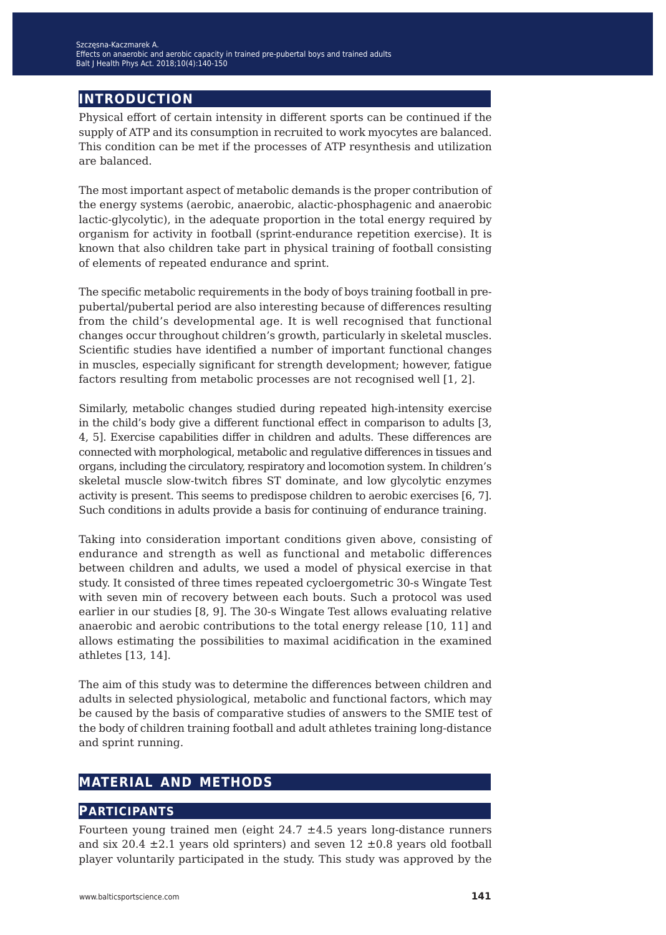## **introduction**

Physical effort of certain intensity in different sports can be continued if the supply of ATP and its consumption in recruited to work myocytes are balanced. This condition can be met if the processes of ATP resynthesis and utilization are balanced.

The most important aspect of metabolic demands is the proper contribution of the energy systems (aerobic, anaerobic, alactic-phosphagenic and anaerobic lactic-glycolytic), in the adequate proportion in the total energy required by organism for activity in football (sprint-endurance repetition exercise). It is known that also children take part in physical training of football consisting of elements of repeated endurance and sprint.

The specific metabolic requirements in the body of boys training football in prepubertal/pubertal period are also interesting because of differences resulting from the child's developmental age. It is well recognised that functional changes occur throughout children's growth, particularly in skeletal muscles. Scientific studies have identified a number of important functional changes in muscles, especially significant for strength development; however, fatigue factors resulting from metabolic processes are not recognised well [1, 2].

Similarly, metabolic changes studied during repeated high-intensity exercise in the child's body give a different functional effect in comparison to adults [3, 4, 5]. Exercise capabilities differ in children and adults. These differences are connected with morphological, metabolic and regulative differences in tissues and organs, including the circulatory, respiratory and locomotion system. In children's skeletal muscle slow-twitch fibres ST dominate, and low glycolytic enzymes activity is present. This seems to predispose children to aerobic exercises [6, 7]. Such conditions in adults provide a basis for continuing of endurance training.

Taking into consideration important conditions given above, consisting of endurance and strength as well as functional and metabolic differences between children and adults, we used a model of physical exercise in that study. It consisted of three times repeated cycloergometric 30-s Wingate Test with seven min of recovery between each bouts. Such a protocol was used earlier in our studies [8, 9]. The 30-s Wingate Test allows evaluating relative anaerobic and aerobic contributions to the total energy release [10, 11] and allows estimating the possibilities to maximal acidification in the examined athletes [13, 14].

The aim of this study was to determine the differences between children and adults in selected physiological, metabolic and functional factors, which may be caused by the basis of comparative studies of answers to the SMIE test of the body of children training football and adult athletes training long-distance and sprint running.

## **material and methods**

#### **participants**

Fourteen young trained men (eight  $24.7 \pm 4.5$  years long-distance runners and six 20.4  $\pm$ 2.1 years old sprinters) and seven 12  $\pm$ 0.8 years old football player voluntarily participated in the study. This study was approved by the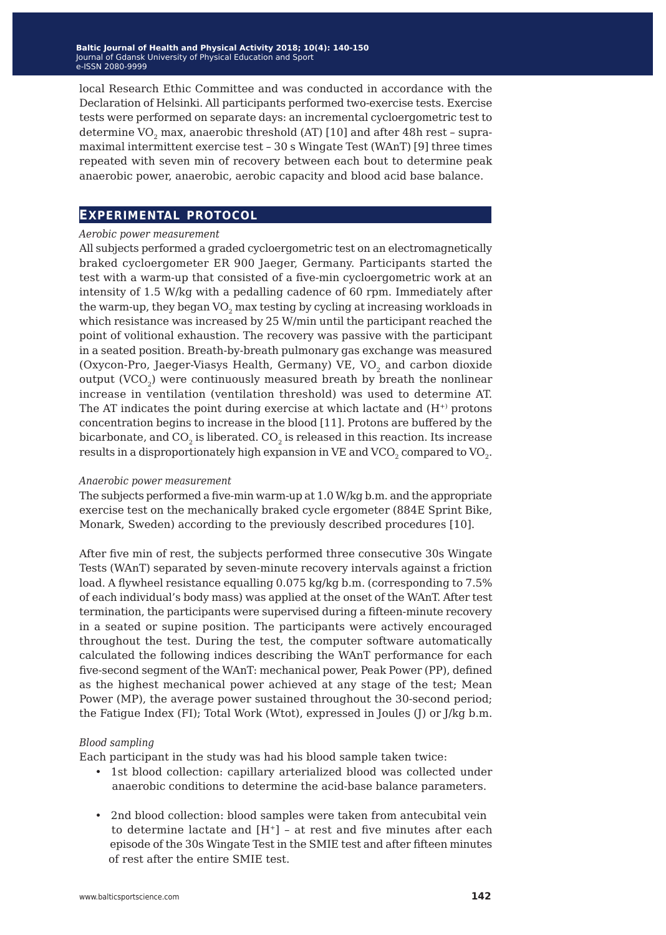local Research Ethic Committee and was conducted in accordance with the Declaration of Helsinki. All participants performed two-exercise tests. Exercise tests were performed on separate days: an incremental cycloergometric test to determine VO<sub>2</sub> max, anaerobic threshold (AT) [10] and after 48h rest - supramaximal intermittent exercise test – 30 s Wingate Test (WAnT) [9] three times repeated with seven min of recovery between each bout to determine peak anaerobic power, anaerobic, aerobic capacity and blood acid base balance.

### **experimental protocol**

#### *Aerobic power measurement*

All subjects performed a graded cycloergometric test on an electromagnetically braked cycloergometer ER 900 Jaeger, Germany. Participants started the test with a warm-up that consisted of a five-min cycloergometric work at an intensity of 1.5 W/kg with a pedalling cadence of 60 rpm. Immediately after the warm-up, they began  $VO_2$  max testing by cycling at increasing workloads in which resistance was increased by 25 W/min until the participant reached the point of volitional exhaustion. The recovery was passive with the participant in a seated position. Breath-by-breath pulmonary gas exchange was measured (Oxycon-Pro, Jaeger-Viasys Health, Germany) VE, VO<sub>2</sub> and carbon dioxide output  $(VCO<sub>2</sub>)$  were continuously measured breath by breath the nonlinear increase in ventilation (ventilation threshold) was used to determine AT. The AT indicates the point during exercise at which lactate and  $(H<sup>+</sup>)$  protons concentration begins to increase in the blood [11]. Protons are buffered by the bicarbonate, and  $CO<sub>2</sub>$  is liberated.  $CO<sub>2</sub>$  is released in this reaction. Its increase results in a disproportionately high expansion in VE and VCO<sub>2</sub> compared to VO<sub>2</sub>.

#### *Anaerobic power measurement*

The subjects performed a five-min warm-up at 1.0 W/kg b.m. and the appropriate exercise test on the mechanically braked cycle ergometer (884E Sprint Bike, Monark, Sweden) according to the previously described procedures [10].

After five min of rest, the subjects performed three consecutive 30s Wingate Tests (WAnT) separated by seven-minute recovery intervals against a friction load. A flywheel resistance equalling 0.075 kg/kg b.m. (corresponding to 7.5% of each individual's body mass) was applied at the onset of the WAnT. After test termination, the participants were supervised during a fifteen-minute recovery in a seated or supine position. The participants were actively encouraged throughout the test. During the test, the computer software automatically calculated the following indices describing the WAnT performance for each five-second segment of the WAnT: mechanical power, Peak Power (PP), defined as the highest mechanical power achieved at any stage of the test; Mean Power (MP), the average power sustained throughout the 30-second period; the Fatigue Index (FI); Total Work (Wtot), expressed in Joules (J) or J/kg b.m.

#### *Blood sampling*

Each participant in the study was had his blood sample taken twice:

- 1st blood collection: capillary arterialized blood was collected under anaerobic conditions to determine the acid-base balance parameters.
- 2nd blood collection: blood samples were taken from antecubital vein to determine lactate and  $[H^+]$  - at rest and five minutes after each episode of the 30s Wingate Test in the SMIE test and after fifteen minutes of rest after the entire SMIE test.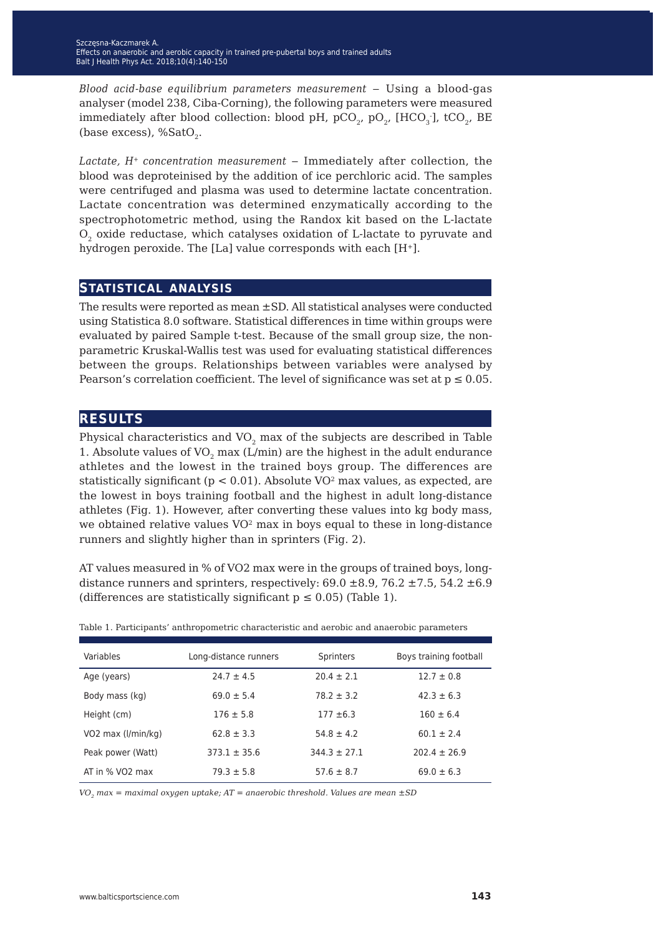*Blood acid-base equilibrium parameters measurement* ‒ Using a blood-gas analyser (model 238, Ciba-Corning), the following parameters were measured immediately after blood collection: blood pH, pCO<sub>2</sub>, pO<sub>2</sub>, [HCO<sub>3</sub>], tCO<sub>2</sub>, BE (base excess),  $%SatO<sub>2</sub>$ .

Lactate, H<sup>+</sup> concentration measurement – Immediately after collection, the blood was deproteinised by the addition of ice perchloric acid. The samples were centrifuged and plasma was used to determine lactate concentration. Lactate concentration was determined enzymatically according to the spectrophotometric method, using the Randox kit based on the L-lactate  $O<sub>2</sub>$  oxide reductase, which catalyses oxidation of L-lactate to pyruvate and hydrogen peroxide. The [La] value corresponds with each [H<sup>+</sup>].

#### **statistical analysis**

The results were reported as mean ±SD. All statistical analyses were conducted using Statistica 8.0 software. Statistical differences in time within groups were evaluated by paired Sample t-test. Because of the small group size, the nonparametric Kruskal-Wallis test was used for evaluating statistical differences between the groups. Relationships between variables were analysed by Pearson's correlation coefficient. The level of significance was set at  $p \le 0.05$ .

### **results**

Physical characteristics and  $VO<sub>2</sub>$  max of the subjects are described in Table 1. Absolute values of  $VO<sub>2</sub>$  max (L/min) are the highest in the adult endurance athletes and the lowest in the trained boys group. The differences are statistically significant ( $p < 0.01$ ). Absolute VO<sup>2</sup> max values, as expected, are the lowest in boys training football and the highest in adult long-distance athletes (Fig. 1). However, after converting these values into kg body mass, we obtained relative values  $VO^2$  max in boys equal to these in long-distance runners and slightly higher than in sprinters (Fig. 2).

AT values measured in % of VO2 max were in the groups of trained boys, longdistance runners and sprinters, respectively:  $69.0 \pm 8.9$ ,  $76.2 \pm 7.5$ ,  $54.2 \pm 6.9$ (differences are statistically significant  $p \leq 0.05$ ) (Table 1).

| Variables          | Long-distance runners | <b>Sprinters</b> | Boys training football |
|--------------------|-----------------------|------------------|------------------------|
| Age (years)        | $24.7 \pm 4.5$        | $20.4 \pm 2.1$   | $12.7 \pm 0.8$         |
| Body mass (kg)     | $69.0 \pm 5.4$        | $78.2 \pm 3.2$   | $42.3 \pm 6.3$         |
| Height (cm)        | $176 \pm 5.8$         | $177 + 6.3$      | $160 \pm 6.4$          |
| VO2 max (I/min/kg) | $62.8 \pm 3.3$        | $54.8 \pm 4.2$   | $60.1 \pm 2.4$         |
| Peak power (Watt)  | $373.1 \pm 35.6$      | $344.3 \pm 27.1$ | $202.4 + 26.9$         |
| AT in % VO2 max    | $79.3 \pm 5.8$        | $57.6 \pm 8.7$   | $69.0 \pm 6.3$         |

Table 1. Participants' anthropometric characteristic and aerobic and anaerobic parameters

*VO2 max = maximal oxygen uptake; AT = anaerobic threshold. Values are mean ±SD*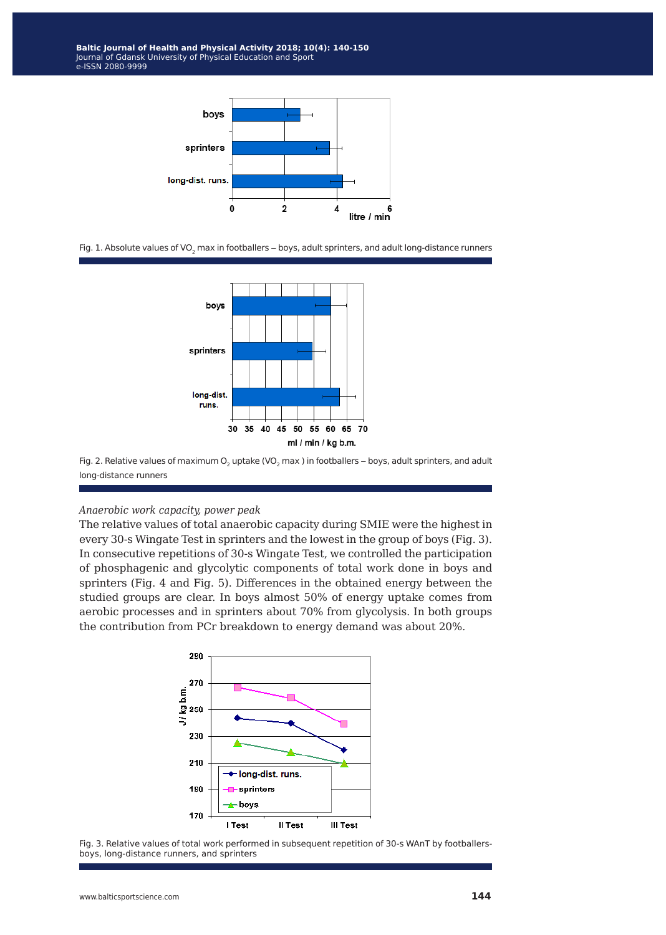

Fig. 1. Absolute values of VO<sub>2</sub> max in footballers - boys, adult sprinters, and adult long-distance runners



Fig. 2. Relative values of maximum O<sub>2</sub> uptake (VO<sub>2</sub> max ) in footballers - boys, adult sprinters, and adult long-distance runners

#### *Anaerobic work capacity, power peak*

The relative values of total anaerobic capacity during SMIE were the highest in every 30-s Wingate Test in sprinters and the lowest in the group of boys (Fig. 3). In consecutive repetitions of 30-s Wingate Test, we controlled the participation of phosphagenic and glycolytic components of total work done in boys and sprinters (Fig. 4 and Fig. 5). Differences in the obtained energy between the studied groups are clear. In boys almost 50% of energy uptake comes from aerobic processes and in sprinters about 70% from glycolysis. In both groups the contribution from PCr breakdown to energy demand was about 20%.



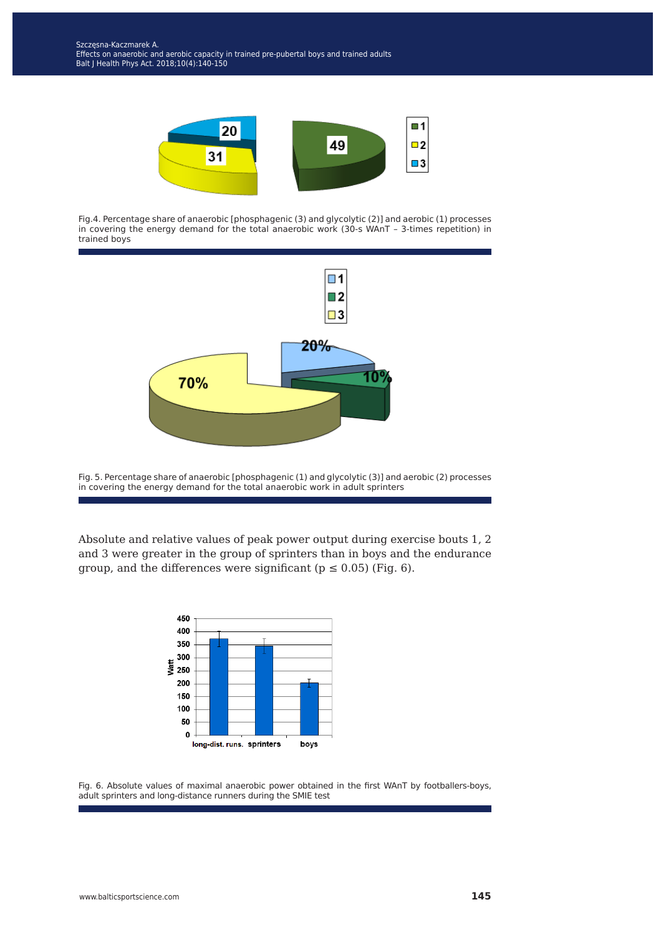

Fig.4. Percentage share of anaerobic [phosphagenic (3) and glycolytic (2)] and aerobic (1) processes in covering the energy demand for the total anaerobic work (30-s WAnT – 3-times repetition) in trained boys



Fig. 5. Percentage share of anaerobic [phosphagenic (1) and glycolytic (3)] and aerobic (2) processes in covering the energy demand for the total anaerobic work in adult sprinters

Absolute and relative values of peak power output during exercise bouts 1, 2 and 3 were greater in the group of sprinters than in boys and the endurance group, and the differences were significant ( $p \le 0.05$ ) (Fig. 6).



Fig. 6. Absolute values of maximal anaerobic power obtained in the first WAnT by footballers-boys, adult sprinters and long-distance runners during the SMIE test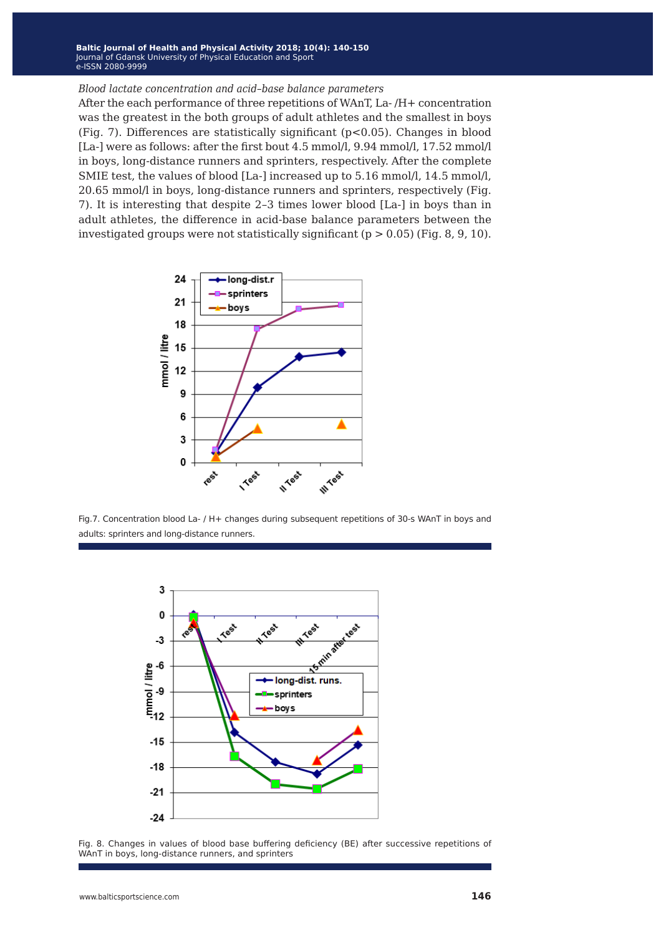**Baltic Journal of Health and Physical Activity 2014; 1(1): 1-4 Baltic Journal of Health and Physical Activity 2018; 10(4): 140-150** Journal of Gdansk University of Physical Education and Sport Journal of Gdansk University of Physical Education and Sport e-ISSN 2080-9999 e-ISSN 2080-9999

#### *Blood lactate concentration and acid–base balance parameters*

After the each performance of three repetitions of WAnT, La- /H+ concentration was the greatest in the both groups of adult athletes and the smallest in boys (Fig. 7). Differences are statistically significant ( $p$ <0.05). Changes in blood [La-] were as follows: after the first bout 4.5 mmol/l, 9.94 mmol/l, 17.52 mmol/l in boys, long-distance runners and sprinters, respectively. After the complete SMIE test, the values of blood [La-] increased up to 5.16 mmol/l, 14.5 mmol/l, 20.65 mmol/l in boys, long-distance runners and sprinters, respectively (Fig. 7). It is interesting that despite 2–3 times lower blood [La-] in boys than in adult athletes, the difference in acid-base balance parameters between the investigated groups were not statistically significant ( $p > 0.05$ ) (Fig. 8, 9, 10).



Fig.7. Concentration blood La- / H+ changes during subsequent repetitions of 30-s WAnT in boys and adults: sprinters and long-distance runners.



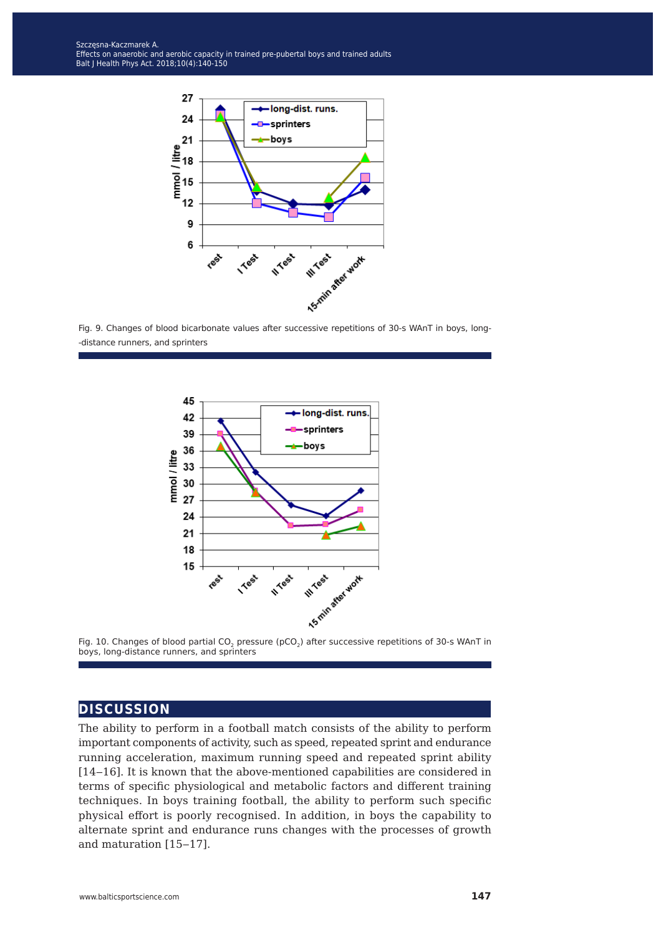

Fig. 9. Changes of blood bicarbonate values after successive repetitions of 30-s WAnT in boys, long- -distance runners, and sprinters





#### **discussion**

The ability to perform in a football match consists of the ability to perform important components of activity, such as speed, repeated sprint and endurance running acceleration, maximum running speed and repeated sprint ability [14–16]. It is known that the above-mentioned capabilities are considered in terms of specific physiological and metabolic factors and different training techniques. In boys training football, the ability to perform such specific physical effort is poorly recognised. In addition, in boys the capability to alternate sprint and endurance runs changes with the processes of growth and maturation [15-17].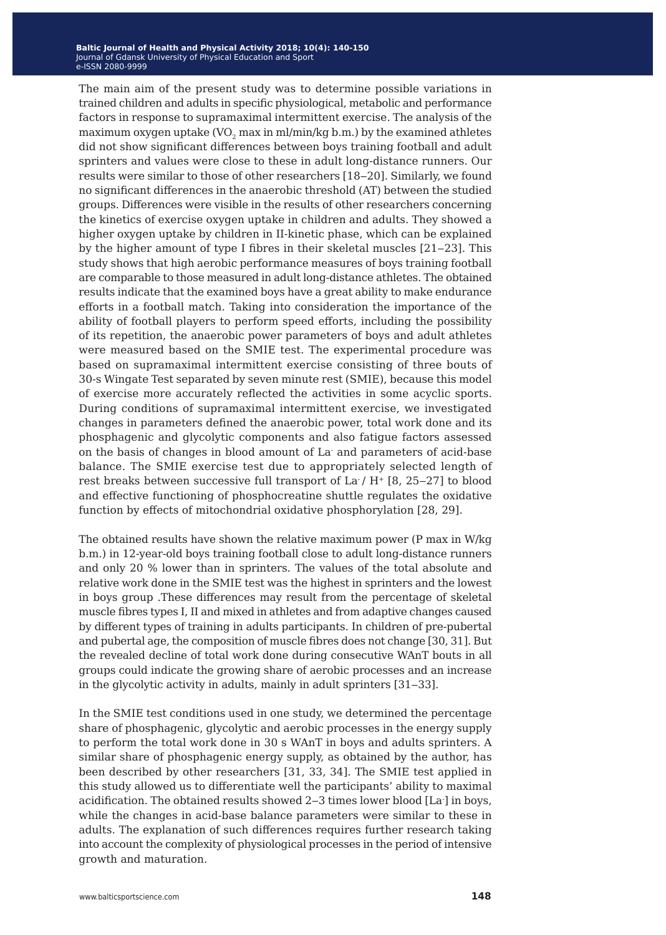The main aim of the present study was to determine possible variations in trained children and adults in specific physiological, metabolic and performance factors in response to supramaximal intermittent exercise. The analysis of the maximum oxygen uptake (VO<sub>2</sub> max in ml/min/kg b.m.) by the examined athletes did not show significant differences between boys training football and adult sprinters and values were close to these in adult long-distance runners. Our results were similar to those of other researchers [18-20]. Similarly, we found no significant differences in the anaerobic threshold (AT) between the studied groups. Differences were visible in the results of other researchers concerning the kinetics of exercise oxygen uptake in children and adults. They showed a higher oxygen uptake by children in II-kinetic phase, which can be explained by the higher amount of type I fibres in their skeletal muscles  $[21-23]$ . This study shows that high aerobic performance measures of boys training football are comparable to those measured in adult long-distance athletes. The obtained results indicate that the examined boys have a great ability to make endurance efforts in a football match. Taking into consideration the importance of the ability of football players to perform speed efforts, including the possibility of its repetition, the anaerobic power parameters of boys and adult athletes were measured based on the SMIE test. The experimental procedure was based on supramaximal intermittent exercise consisting of three bouts of 30-s Wingate Test separated by seven minute rest (SMIE), because this model of exercise more accurately reflected the activities in some acyclic sports. During conditions of supramaximal intermittent exercise, we investigated changes in parameters defined the anaerobic power, total work done and its phosphagenic and glycolytic components and also fatigue factors assessed on the basis of changes in blood amount of La- and parameters of acid-base balance. The SMIE exercise test due to appropriately selected length of rest breaks between successive full transport of La $/$  H<sup>+</sup> [8, 25–27] to blood and effective functioning of phosphocreatine shuttle regulates the oxidative function by effects of mitochondrial oxidative phosphorylation [28, 29].

The obtained results have shown the relative maximum power (P max in W/kg b.m.) in 12-year-old boys training football close to adult long-distance runners and only 20 % lower than in sprinters. The values of the total absolute and relative work done in the SMIE test was the highest in sprinters and the lowest in boys group .These differences may result from the percentage of skeletal muscle fibres types I, II and mixed in athletes and from adaptive changes caused by different types of training in adults participants. In children of pre-pubertal and pubertal age, the composition of muscle fibres does not change [30, 31]. But the revealed decline of total work done during consecutive WAnT bouts in all groups could indicate the growing share of aerobic processes and an increase in the glycolytic activity in adults, mainly in adult sprinters [31‒33].

In the SMIE test conditions used in one study, we determined the percentage share of phosphagenic, glycolytic and aerobic processes in the energy supply to perform the total work done in 30 s WAnT in boys and adults sprinters. A similar share of phosphagenic energy supply, as obtained by the author, has been described by other researchers [31, 33, 34]. The SMIE test applied in this study allowed us to differentiate well the participants' ability to maximal acidification. The obtained results showed 2‒3 times lower blood [La- ] in boys, while the changes in acid-base balance parameters were similar to these in adults. The explanation of such differences requires further research taking into account the complexity of physiological processes in the period of intensive growth and maturation.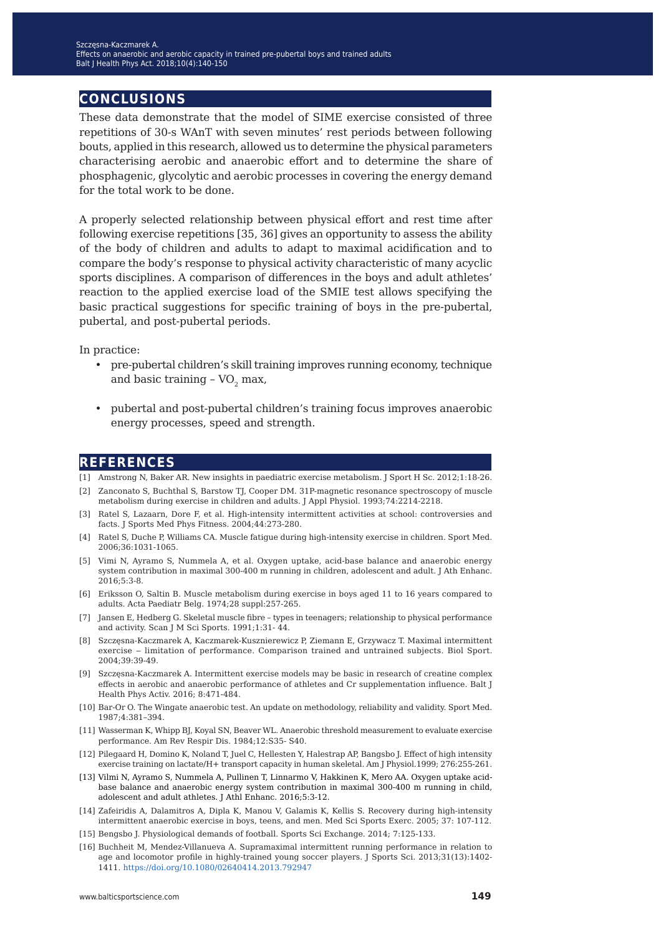## **conclusions**

These data demonstrate that the model of SIME exercise consisted of three repetitions of 30-s WAnT with seven minutes' rest periods between following bouts, applied in this research, allowed us to determine the physical parameters characterising aerobic and anaerobic effort and to determine the share of phosphagenic, glycolytic and aerobic processes in covering the energy demand for the total work to be done.

A properly selected relationship between physical effort and rest time after following exercise repetitions [35, 36] gives an opportunity to assess the ability of the body of children and adults to adapt to maximal acidification and to compare the body's response to physical activity characteristic of many acyclic sports disciplines. A comparison of differences in the boys and adult athletes' reaction to the applied exercise load of the SMIE test allows specifying the basic practical suggestions for specific training of boys in the pre-pubertal, pubertal, and post-pubertal periods.

In practice:

- pre-pubertal children's skill training improves running economy, technique and basic training  $-VO$ , max,
- pubertal and post-pubertal children's training focus improves anaerobic energy processes, speed and strength.

#### **references**

- [1] Amstrong N, Baker AR. New insights in paediatric exercise metabolism. J Sport H Sc. 2012;1:18-26.
- [2] Zanconato S, Buchthal S, Barstow TJ, Cooper DM. 31P-magnetic resonance spectroscopy of muscle metabolism during exercise in children and adults. J Appl Physiol. 1993;74:2214-2218.
- [3] Ratel S, Lazaarn, Dore F, et al. High-intensity intermittent activities at school: controversies and facts. J Sports Med Phys Fitness. 2004;44:273-280.
- [4] Ratel S, Duche P, Williams CA. Muscle fatigue during high-intensity exercise in children. Sport Med. 2006;36:1031-1065.
- [5] Vimi N, Ayramo S, Nummela A, et al. Oxygen uptake, acid-base balance and anaerobic energy system contribution in maximal 300-400 m running in children, adolescent and adult. J Ath Enhanc. 2016;5:3-8.
- [6] Eriksson O, Saltin B. Muscle metabolism during exercise in boys aged 11 to 16 years compared to adults. Acta Paediatr Belg. 1974;28 suppl:257-265.
- [7] Jansen E, Hedberg G. Skeletal muscle fibre types in teenagers; relationship to physical performance and activity. Scan J M Sci Sports. 1991;1:31- 44.
- [8] Szczęsna-Kaczmarek A, Kaczmarek-Kusznierewicz P, Ziemann E, Grzywacz T. Maximal intermittent exercise – limitation of performance. Comparison trained and untrained subjects. Biol Sport. 2004;39:39-49.
- [9] Szczęsna-Kaczmarek A. Intermittent exercise models may be basic in research of creatine complex effects in aerobic and anaerobic performance of athletes and Cr supplementation influence. Balt J Health Phys Activ. 2016; 8:471-484.
- [10] Bar-Or O. The Wingate anaerobic test. An update on methodology, reliability and validity. Sport Med. 1987;4:381–394.
- [11] Wasserman K, Whipp BJ, Koyal SN, Beaver WL. Anaerobic threshold measurement to evaluate exercise performance. Am Rev Respir Dis. 1984;12:S35- S40.
- [12] Pilegaard H, Domino K, Noland T, Juel C, Hellesten Y, Halestrap AP, Bangsbo J. Effect of high intensity exercise training on lactate/H+ transport capacity in human skeletal. Am J Physiol.1999; 276:255-261.
- [13] Vilmi N, Ayramo S, Nummela A, Pullinen T, Linnarmo V, Hakkinen K, Mero AA. Oxygen uptake acidbase balance and anaerobic energy system contribution in maximal 300-400 m running in child, adolescent and adult athletes. J Athl Enhanc. 2016;5:3-12.
- [14] Zafeiridis A, Dalamitros A, Dipla K, Manou V, Galamis K, Kellis S. Recovery during high-intensity intermittent anaerobic exercise in boys, teens, and men. Med Sci Sports Exerc. 2005; 37: 107-112.
- [15] Bengsbo J. Physiological demands of football. Sports Sci Exchange. 2014; 7:125-133.
- [16] Buchheit M, Mendez-Villanueva A. Supramaximal intermittent running performance in relation to age and locomotor profile in highly-trained young so[c](https://doi.org/10.1080/02640414.2014.965191)cer players. J Sports Sci. 2013;31(13):1402- 1411.<https://doi.org/10.1080/02640414.2013.792947>